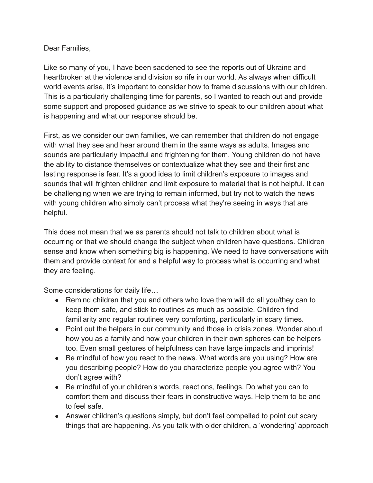Dear Families,

Like so many of you, I have been saddened to see the reports out of Ukraine and heartbroken at the violence and division so rife in our world. As always when difficult world events arise, it's important to consider how to frame discussions with our children. This is a particularly challenging time for parents, so I wanted to reach out and provide some support and proposed guidance as we strive to speak to our children about what is happening and what our response should be.

First, as we consider our own families, we can remember that children do not engage with what they see and hear around them in the same ways as adults. Images and sounds are particularly impactful and frightening for them. Young children do not have the ability to distance themselves or contextualize what they see and their first and lasting response is fear. It's a good idea to limit children's exposure to images and sounds that will frighten children and limit exposure to material that is not helpful. It can be challenging when we are trying to remain informed, but try not to watch the news with young children who simply can't process what they're seeing in ways that are helpful.

This does not mean that we as parents should not talk to children about what is occurring or that we should change the subject when children have questions. Children sense and know when something big is happening. We need to have conversations with them and provide context for and a helpful way to process what is occurring and what they are feeling.

Some considerations for daily life…

- Remind children that you and others who love them will do all you/they can to keep them safe, and stick to routines as much as possible. Children find familiarity and regular routines very comforting, particularly in scary times.
- Point out the helpers in our community and those in crisis zones. Wonder about how you as a family and how your children in their own spheres can be helpers too. Even small gestures of helpfulness can have large impacts and imprints!
- Be mindful of how you react to the news. What words are you using? How are you describing people? How do you characterize people you agree with? You don't agree with?
- Be mindful of your children's words, reactions, feelings. Do what you can to comfort them and discuss their fears in constructive ways. Help them to be and to feel safe.
- Answer children's questions simply, but don't feel compelled to point out scary things that are happening. As you talk with older children, a 'wondering' approach